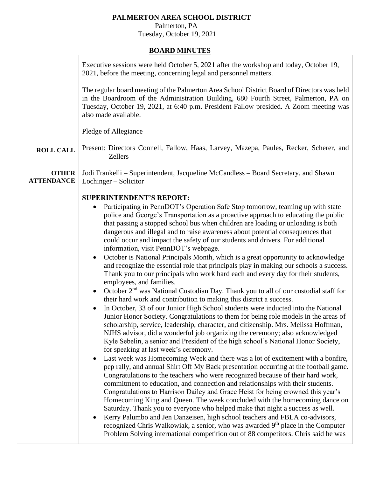## **PALMERTON AREA SCHOOL DISTRICT**

 Palmerton, PA Tuesday, October 19, 2021

## **BOARD MINUTES**

|                                   | Executive sessions were held October 5, 2021 after the workshop and today, October 19,<br>2021, before the meeting, concerning legal and personnel matters.                                                                                                                                                                                                                                                                                                                                                                                                                                                                                                                                                                                                                                                                                                                                                                                                                                                                                                                                                                                                                                                                                                                                                                                                                                                                                                                                                                                                                                                                                                                                                                                                                                                                                                                                                                                                                                                                                                                                                                                                                                                                                                                                                                              |
|-----------------------------------|------------------------------------------------------------------------------------------------------------------------------------------------------------------------------------------------------------------------------------------------------------------------------------------------------------------------------------------------------------------------------------------------------------------------------------------------------------------------------------------------------------------------------------------------------------------------------------------------------------------------------------------------------------------------------------------------------------------------------------------------------------------------------------------------------------------------------------------------------------------------------------------------------------------------------------------------------------------------------------------------------------------------------------------------------------------------------------------------------------------------------------------------------------------------------------------------------------------------------------------------------------------------------------------------------------------------------------------------------------------------------------------------------------------------------------------------------------------------------------------------------------------------------------------------------------------------------------------------------------------------------------------------------------------------------------------------------------------------------------------------------------------------------------------------------------------------------------------------------------------------------------------------------------------------------------------------------------------------------------------------------------------------------------------------------------------------------------------------------------------------------------------------------------------------------------------------------------------------------------------------------------------------------------------------------------------------------------------|
|                                   | The regular board meeting of the Palmerton Area School District Board of Directors was held<br>in the Boardroom of the Administration Building, 680 Fourth Street, Palmerton, PA on<br>Tuesday, October 19, 2021, at 6:40 p.m. President Fallow presided. A Zoom meeting was<br>also made available.                                                                                                                                                                                                                                                                                                                                                                                                                                                                                                                                                                                                                                                                                                                                                                                                                                                                                                                                                                                                                                                                                                                                                                                                                                                                                                                                                                                                                                                                                                                                                                                                                                                                                                                                                                                                                                                                                                                                                                                                                                     |
|                                   | Pledge of Allegiance                                                                                                                                                                                                                                                                                                                                                                                                                                                                                                                                                                                                                                                                                                                                                                                                                                                                                                                                                                                                                                                                                                                                                                                                                                                                                                                                                                                                                                                                                                                                                                                                                                                                                                                                                                                                                                                                                                                                                                                                                                                                                                                                                                                                                                                                                                                     |
| <b>ROLL CALL</b>                  | Present: Directors Connell, Fallow, Haas, Larvey, Mazepa, Paules, Recker, Scherer, and<br><b>Zellers</b>                                                                                                                                                                                                                                                                                                                                                                                                                                                                                                                                                                                                                                                                                                                                                                                                                                                                                                                                                                                                                                                                                                                                                                                                                                                                                                                                                                                                                                                                                                                                                                                                                                                                                                                                                                                                                                                                                                                                                                                                                                                                                                                                                                                                                                 |
| <b>OTHER</b><br><b>ATTENDANCE</b> | Jodi Frankelli - Superintendent, Jacqueline McCandless - Board Secretary, and Shawn<br>Lochinger – Solicitor                                                                                                                                                                                                                                                                                                                                                                                                                                                                                                                                                                                                                                                                                                                                                                                                                                                                                                                                                                                                                                                                                                                                                                                                                                                                                                                                                                                                                                                                                                                                                                                                                                                                                                                                                                                                                                                                                                                                                                                                                                                                                                                                                                                                                             |
|                                   | <b>SUPERINTENDENT'S REPORT:</b><br>Participating in PennDOT's Operation Safe Stop tomorrow, teaming up with state<br>police and George's Transportation as a proactive approach to educating the public<br>that passing a stopped school bus when children are loading or unloading is both<br>dangerous and illegal and to raise awareness about potential consequences that<br>could occur and impact the safety of our students and drivers. For additional<br>information, visit PennDOT's webpage.<br>October is National Principals Month, which is a great opportunity to acknowledge<br>and recognize the essential role that principals play in making our schools a success.<br>Thank you to our principals who work hard each and every day for their students,<br>employees, and families.<br>October 2 <sup>nd</sup> was National Custodian Day. Thank you to all of our custodial staff for<br>their hard work and contribution to making this district a success.<br>In October, 33 of our Junior High School students were inducted into the National<br>Junior Honor Society. Congratulations to them for being role models in the areas of<br>scholarship, service, leadership, character, and citizenship. Mrs. Melissa Hoffman,<br>NJHS advisor, did a wonderful job organizing the ceremony; also acknowledged<br>Kyle Sebelin, a senior and President of the high school's National Honor Society,<br>for speaking at last week's ceremony.<br>Last week was Homecoming Week and there was a lot of excitement with a bonfire,<br>pep rally, and annual Shirt Off My Back presentation occurring at the football game.<br>Congratulations to the teachers who were recognized because of their hard work,<br>commitment to education, and connection and relationships with their students.<br>Congratulations to Harrison Dailey and Grace Heist for being crowned this year's<br>Homecoming King and Queen. The week concluded with the homecoming dance on<br>Saturday. Thank you to everyone who helped make that night a success as well.<br>Kerry Palumbo and Jen Danzeisen, high school teachers and FBLA co-advisors,<br>recognized Chris Walkowiak, a senior, who was awarded 9 <sup>th</sup> place in the Computer<br>Problem Solving international competition out of 88 competitors. Chris said he was |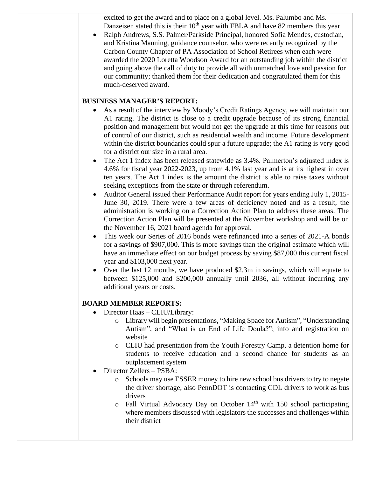excited to get the award and to place on a global level. Ms. Palumbo and Ms. Danzeisen stated this is their  $10<sup>th</sup>$  year with FBLA and have 82 members this year.

• Ralph Andrews, S.S. Palmer/Parkside Principal, honored Sofia Mendes, custodian, and Kristina Manning, guidance counselor, who were recently recognized by the Carbon County Chapter of PA Association of School Retirees when each were awarded the 2020 Loretta Woodson Award for an outstanding job within the district and going above the call of duty to provide all with unmatched love and passion for our community; thanked them for their dedication and congratulated them for this much-deserved award.

## **BUSINESS MANAGER'S REPORT:**

- As a result of the interview by Moody's Credit Ratings Agency, we will maintain our A1 rating. The district is close to a credit upgrade because of its strong financial position and management but would not get the upgrade at this time for reasons out of control of our district, such as residential wealth and income. Future development within the district boundaries could spur a future upgrade; the A1 rating is very good for a district our size in a rural area.
- The Act 1 index has been released statewide as 3.4%. Palmerton's adjusted index is 4.6% for fiscal year 2022-2023, up from 4.1% last year and is at its highest in over ten years. The Act 1 index is the amount the district is able to raise taxes without seeking exceptions from the state or through referendum.
- Auditor General issued their Performance Audit report for years ending July 1, 2015- June 30, 2019. There were a few areas of deficiency noted and as a result, the administration is working on a Correction Action Plan to address these areas. The Correction Action Plan will be presented at the November workshop and will be on the November 16, 2021 board agenda for approval.
- This week our Series of 2016 bonds were refinanced into a series of 2021-A bonds for a savings of \$907,000. This is more savings than the original estimate which will have an immediate effect on our budget process by saving \$87,000 this current fiscal year and \$103,000 next year.
- Over the last 12 months, we have produced \$2.3m in savings, which will equate to between \$125,000 and \$200,000 annually until 2036, all without incurring any additional years or costs.

## **BOARD MEMBER REPORTS:**

- Director Haas CLIU/Library:
	- o Library will begin presentations, "Making Space for Autism", "Understanding Autism", and "What is an End of Life Doula?"; info and registration on website
	- o CLIU had presentation from the Youth Forestry Camp, a detention home for students to receive education and a second chance for students as an outplacement system
- Director Zellers PSBA:
	- o Schools may use ESSER money to hire new school bus drivers to try to negate the driver shortage; also PennDOT is contacting CDL drivers to work as bus drivers
	- $\circ$  Fall Virtual Advocacy Day on October 14<sup>th</sup> with 150 school participating where members discussed with legislators the successes and challenges within their district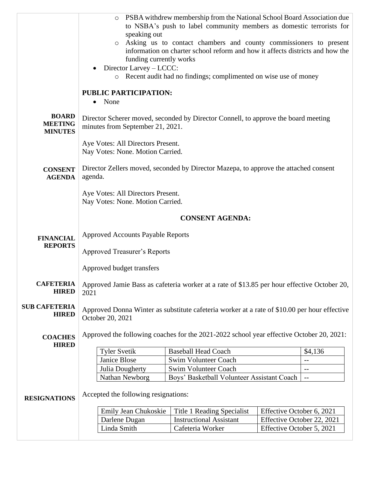|                                                  | $\circ$<br>speaking out<br>$\circ$<br>funding currently works<br>Director Larvey - LCCC:<br><b>PUBLIC PARTICIPATION:</b> | PSBA withdrew membership from the National School Board Association due<br>to NSBA's push to label community members as domestic terrorists for<br>Asking us to contact chambers and county commissioners to present<br>information on charter school reform and how it affects districts and how the<br>o Recent audit had no findings; complimented on wise use of money |                            |                          |
|--------------------------------------------------|--------------------------------------------------------------------------------------------------------------------------|----------------------------------------------------------------------------------------------------------------------------------------------------------------------------------------------------------------------------------------------------------------------------------------------------------------------------------------------------------------------------|----------------------------|--------------------------|
|                                                  | None<br>$\bullet$                                                                                                        |                                                                                                                                                                                                                                                                                                                                                                            |                            |                          |
| <b>BOARD</b><br><b>MEETING</b><br><b>MINUTES</b> | minutes from September 21, 2021.                                                                                         | Director Scherer moved, seconded by Director Connell, to approve the board meeting                                                                                                                                                                                                                                                                                         |                            |                          |
|                                                  | Aye Votes: All Directors Present.<br>Nay Votes: None. Motion Carried.                                                    |                                                                                                                                                                                                                                                                                                                                                                            |                            |                          |
| <b>CONSENT</b><br><b>AGENDA</b>                  | agenda.                                                                                                                  | Director Zellers moved, seconded by Director Mazepa, to approve the attached consent                                                                                                                                                                                                                                                                                       |                            |                          |
|                                                  | Aye Votes: All Directors Present.<br>Nay Votes: None. Motion Carried.                                                    |                                                                                                                                                                                                                                                                                                                                                                            |                            |                          |
|                                                  |                                                                                                                          | <b>CONSENT AGENDA:</b>                                                                                                                                                                                                                                                                                                                                                     |                            |                          |
| <b>FINANCIAL</b><br><b>REPORTS</b>               | <b>Approved Accounts Payable Reports</b><br><b>Approved Treasurer's Reports</b>                                          |                                                                                                                                                                                                                                                                                                                                                                            |                            |                          |
|                                                  | Approved budget transfers                                                                                                |                                                                                                                                                                                                                                                                                                                                                                            |                            |                          |
| <b>CAFETERIA</b><br><b>HIRED</b>                 | 2021                                                                                                                     | Approved Jamie Bass as cafeteria worker at a rate of \$13.85 per hour effective October 20,                                                                                                                                                                                                                                                                                |                            |                          |
| <b>SUB CAFETERIA</b><br><b>HIRED</b>             | October 20, 2021                                                                                                         | Approved Donna Winter as substitute cafeteria worker at a rate of \$10.00 per hour effective                                                                                                                                                                                                                                                                               |                            |                          |
| <b>COACHES</b><br><b>HIRED</b>                   | Approved the following coaches for the 2021-2022 school year effective October 20, 2021:                                 |                                                                                                                                                                                                                                                                                                                                                                            |                            |                          |
|                                                  | <b>Tyler Svetik</b>                                                                                                      | <b>Baseball Head Coach</b>                                                                                                                                                                                                                                                                                                                                                 |                            | \$4,136                  |
|                                                  | Janice Blose                                                                                                             | Swim Volunteer Coach                                                                                                                                                                                                                                                                                                                                                       |                            | $-$                      |
|                                                  | Julia Dougherty                                                                                                          | Swim Volunteer Coach                                                                                                                                                                                                                                                                                                                                                       |                            | $\qquad \qquad -$        |
|                                                  | Nathan Newborg                                                                                                           | Boys' Basketball Volunteer Assistant Coach                                                                                                                                                                                                                                                                                                                                 |                            | $\overline{\phantom{m}}$ |
| <b>RESIGNATIONS</b>                              | Accepted the following resignations:                                                                                     |                                                                                                                                                                                                                                                                                                                                                                            |                            |                          |
|                                                  | Emily Jean Chukoskie                                                                                                     | Title 1 Reading Specialist                                                                                                                                                                                                                                                                                                                                                 | Effective October 6, 2021  |                          |
|                                                  | Darlene Dugan                                                                                                            | <b>Instructional Assistant</b>                                                                                                                                                                                                                                                                                                                                             | Effective October 22, 2021 |                          |
|                                                  | Linda Smith                                                                                                              | Cafeteria Worker                                                                                                                                                                                                                                                                                                                                                           | Effective October 5, 2021  |                          |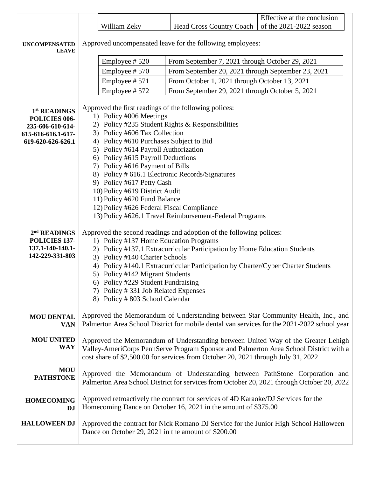|                                      |                                                                                                                     |                                                                           |                                                                                                                                                      | Effective at the conclusion                                                                                                                                                      |
|--------------------------------------|---------------------------------------------------------------------------------------------------------------------|---------------------------------------------------------------------------|------------------------------------------------------------------------------------------------------------------------------------------------------|----------------------------------------------------------------------------------------------------------------------------------------------------------------------------------|
|                                      |                                                                                                                     | William Zeky                                                              | <b>Head Cross Country Coach</b>                                                                                                                      | of the 2021-2022 season                                                                                                                                                          |
|                                      |                                                                                                                     |                                                                           |                                                                                                                                                      |                                                                                                                                                                                  |
| <b>UNCOMPENSATED</b><br><b>LEAVE</b> |                                                                                                                     |                                                                           | Approved uncompensated leave for the following employees:                                                                                            |                                                                                                                                                                                  |
|                                      |                                                                                                                     | Employee #520                                                             | From September 7, 2021 through October 29, 2021                                                                                                      |                                                                                                                                                                                  |
|                                      |                                                                                                                     | Employee #570                                                             | From September 20, 2021 through September 23, 2021                                                                                                   |                                                                                                                                                                                  |
|                                      |                                                                                                                     | Employee #571                                                             | From October 1, 2021 through October 13, 2021                                                                                                        |                                                                                                                                                                                  |
|                                      |                                                                                                                     | Employee #572                                                             | From September 29, 2021 through October 5, 2021                                                                                                      |                                                                                                                                                                                  |
|                                      |                                                                                                                     |                                                                           |                                                                                                                                                      |                                                                                                                                                                                  |
| 1 <sup>st</sup> READINGS             |                                                                                                                     | 1) Policy #006 Meetings                                                   | Approved the first readings of the following polices:                                                                                                |                                                                                                                                                                                  |
| POLICIES 006-<br>235-606-610-614-    |                                                                                                                     |                                                                           | 2) Policy #235 Student Rights & Responsibilities                                                                                                     |                                                                                                                                                                                  |
| 615-616-616.1-617-                   |                                                                                                                     | 3) Policy #606 Tax Collection                                             |                                                                                                                                                      |                                                                                                                                                                                  |
| 619-620-626-626.1                    |                                                                                                                     | 4) Policy #610 Purchases Subject to Bid                                   |                                                                                                                                                      |                                                                                                                                                                                  |
|                                      |                                                                                                                     | 5) Policy #614 Payroll Authorization<br>6) Policy #615 Payroll Deductions |                                                                                                                                                      |                                                                                                                                                                                  |
|                                      |                                                                                                                     | 7) Policy #616 Payment of Bills                                           |                                                                                                                                                      |                                                                                                                                                                                  |
|                                      |                                                                                                                     |                                                                           | 8) Policy # 616.1 Electronic Records/Signatures                                                                                                      |                                                                                                                                                                                  |
|                                      |                                                                                                                     | 9) Policy #617 Petty Cash                                                 |                                                                                                                                                      |                                                                                                                                                                                  |
|                                      |                                                                                                                     | 10) Policy #619 District Audit                                            |                                                                                                                                                      |                                                                                                                                                                                  |
|                                      |                                                                                                                     | 11) Policy #620 Fund Balance<br>12) Policy #626 Federal Fiscal Compliance |                                                                                                                                                      |                                                                                                                                                                                  |
|                                      |                                                                                                                     |                                                                           | 13) Policy #626.1 Travel Reimbursement-Federal Programs                                                                                              |                                                                                                                                                                                  |
|                                      |                                                                                                                     |                                                                           |                                                                                                                                                      |                                                                                                                                                                                  |
| 2 <sup>nd</sup> READINGS             |                                                                                                                     |                                                                           | Approved the second readings and adoption of the following polices:                                                                                  |                                                                                                                                                                                  |
| POLICIES 137-<br>137.1-140-140.1-    | 1) Policy #137 Home Education Programs<br>2) Policy #137.1 Extracurricular Participation by Home Education Students |                                                                           |                                                                                                                                                      |                                                                                                                                                                                  |
| 142-229-331-803                      |                                                                                                                     | 3) Policy #140 Charter Schools                                            |                                                                                                                                                      |                                                                                                                                                                                  |
|                                      |                                                                                                                     |                                                                           | 4) Policy #140.1 Extracurricular Participation by Charter/Cyber Charter Students                                                                     |                                                                                                                                                                                  |
|                                      |                                                                                                                     | 5) Policy #142 Migrant Students                                           |                                                                                                                                                      |                                                                                                                                                                                  |
|                                      |                                                                                                                     | 6) Policy #229 Student Fundraising<br>7) Policy #331 Job Related Expenses |                                                                                                                                                      |                                                                                                                                                                                  |
|                                      |                                                                                                                     | 8) Policy #803 School Calendar                                            |                                                                                                                                                      |                                                                                                                                                                                  |
|                                      |                                                                                                                     |                                                                           |                                                                                                                                                      |                                                                                                                                                                                  |
| <b>MOU DENTAL</b><br><b>VAN</b>      |                                                                                                                     |                                                                           |                                                                                                                                                      | Approved the Memorandum of Understanding between Star Community Health, Inc., and<br>Palmerton Area School District for mobile dental van services for the 2021-2022 school year |
|                                      |                                                                                                                     |                                                                           |                                                                                                                                                      |                                                                                                                                                                                  |
| <b>MOU UNITED</b>                    |                                                                                                                     |                                                                           |                                                                                                                                                      | Approved the Memorandum of Understanding between United Way of the Greater Lehigh                                                                                                |
| <b>WAY</b>                           |                                                                                                                     |                                                                           |                                                                                                                                                      | Valley-AmeriCorps PennServe Program Sponsor and Palmerton Area School District with a                                                                                            |
|                                      |                                                                                                                     |                                                                           | cost share of \$2,500.00 for services from October 20, 2021 through July 31, 2022                                                                    |                                                                                                                                                                                  |
| <b>MOU</b>                           |                                                                                                                     |                                                                           |                                                                                                                                                      | Approved the Memorandum of Understanding between PathStone Corporation and                                                                                                       |
| <b>PATHSTONE</b>                     |                                                                                                                     |                                                                           |                                                                                                                                                      | Palmerton Area School District for services from October 20, 2021 through October 20, 2022                                                                                       |
|                                      |                                                                                                                     |                                                                           |                                                                                                                                                      |                                                                                                                                                                                  |
| <b>HOMECOMING</b><br>DJ              |                                                                                                                     |                                                                           | Approved retroactively the contract for services of 4D Karaoke/DJ Services for the<br>Homecoming Dance on October 16, 2021 in the amount of \$375.00 |                                                                                                                                                                                  |
|                                      |                                                                                                                     |                                                                           |                                                                                                                                                      |                                                                                                                                                                                  |
| <b>HALLOWEEN DJ</b>                  |                                                                                                                     |                                                                           | Approved the contract for Nick Romano DJ Service for the Junior High School Halloween                                                                |                                                                                                                                                                                  |
|                                      |                                                                                                                     |                                                                           | Dance on October 29, 2021 in the amount of \$200.00                                                                                                  |                                                                                                                                                                                  |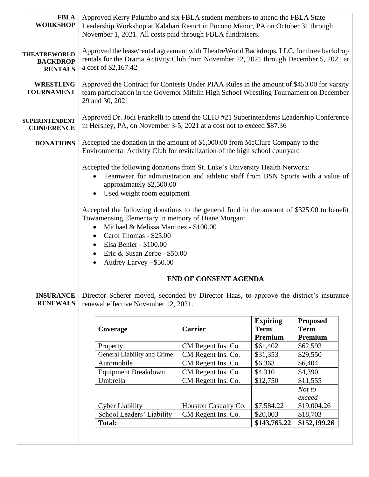|                                                          | <b>Total:</b>                                                                                                                                                                                                                  |                      | \$143,765.22                   | \$152,199.26                   |  |
|----------------------------------------------------------|--------------------------------------------------------------------------------------------------------------------------------------------------------------------------------------------------------------------------------|----------------------|--------------------------------|--------------------------------|--|
|                                                          | School Leaders' Liability                                                                                                                                                                                                      | CM Regent Ins. Co.   | \$20,003                       | \$18,703                       |  |
|                                                          | <b>Cyber Liability</b>                                                                                                                                                                                                         | Houston Casualty Co. | \$7,584.22                     | \$19,004.26                    |  |
|                                                          |                                                                                                                                                                                                                                |                      |                                | exceed                         |  |
|                                                          |                                                                                                                                                                                                                                |                      |                                | Not to                         |  |
|                                                          | Umbrella                                                                                                                                                                                                                       | CM Regent Ins. Co.   | \$12,750                       | \$11,555                       |  |
|                                                          | <b>Equipment Breakdown</b>                                                                                                                                                                                                     | CM Regent Ins. Co.   | \$4,310                        | \$4,390                        |  |
|                                                          | Automobile                                                                                                                                                                                                                     | CM Regent Ins. Co.   | \$6,363                        | \$6,404                        |  |
|                                                          | General Liability and Crime                                                                                                                                                                                                    | CM Regent Ins. Co.   | \$31,353                       | \$29,550                       |  |
|                                                          | Property                                                                                                                                                                                                                       | CM Regent Ins. Co.   | \$61,402                       | \$62,593                       |  |
|                                                          |                                                                                                                                                                                                                                |                      | Premium                        | Premium                        |  |
|                                                          | Coverage                                                                                                                                                                                                                       | <b>Carrier</b>       | <b>Expiring</b><br><b>Term</b> | <b>Proposed</b><br><b>Term</b> |  |
| <b>RENEWALS</b>                                          | renewal effective November 12, 2021.                                                                                                                                                                                           |                      |                                |                                |  |
| <b>INSURANCE</b>                                         | Director Scherer moved, seconded by Director Haas, to approve the district's insurance                                                                                                                                         |                      |                                |                                |  |
|                                                          | <b>END OF CONSENT AGENDA</b>                                                                                                                                                                                                   |                      |                                |                                |  |
|                                                          | Elsa Behler - \$100.00<br>٠<br>Eric & Susan Zerbe - \$50.00<br>Audrey Larvey - \$50.00                                                                                                                                         |                      |                                |                                |  |
|                                                          | Michael & Melissa Martinez - \$100.00<br>Carol Thomas - \$25.00<br>$\bullet$                                                                                                                                                   |                      |                                |                                |  |
|                                                          | Accepted the following donations to the general fund in the amount of \$325.00 to benefit<br>Towamensing Elementary in memory of Diane Morgan:                                                                                 |                      |                                |                                |  |
|                                                          | Used weight room equipment                                                                                                                                                                                                     |                      |                                |                                |  |
|                                                          | Accepted the following donations from St. Luke's University Health Network:<br>Teamwear for administration and athletic staff from BSN Sports with a value of<br>approximately \$2,500.00                                      |                      |                                |                                |  |
|                                                          |                                                                                                                                                                                                                                |                      |                                |                                |  |
| <b>DONATIONS</b>                                         | Accepted the donation in the amount of \$1,000.00 from McClure Company to the<br>Environmental Activity Club for revitalization of the high school courtyard                                                                   |                      |                                |                                |  |
| <b>SUPERINTENDENT</b><br><b>CONFERENCE</b>               | Approved Dr. Jodi Frankelli to attend the CLIU #21 Superintendents Leadership Conference<br>in Hershey, PA, on November 3-5, 2021 at a cost not to exceed \$87.36                                                              |                      |                                |                                |  |
| <b>WRESTLING</b><br><b>TOURNAMENT</b>                    | Approved the Contract for Contests Under PIAA Rules in the amount of \$450.00 for varsity<br>team participation in the Governor Mifflin High School Wrestling Tournament on December<br>29 and 30, 2021                        |                      |                                |                                |  |
| <b>THEATREWORLD</b><br><b>BACKDROP</b><br><b>RENTALS</b> | Approved the lease/rental agreement with TheatreWorld Backdrops, LLC, for three backdrop<br>rentals for the Drama Activity Club from November 22, 2021 through December 5, 2021 at<br>a cost of \$2,167.42                     |                      |                                |                                |  |
| <b>FBLA</b><br><b>WORKSHOP</b>                           | Approved Kerry Palumbo and six FBLA student members to attend the FBLA State<br>Leadership Workshop at Kalahari Resort in Pocono Manor, PA on October 31 through<br>November 1, 2021. All costs paid through FBLA fundraisers. |                      |                                |                                |  |